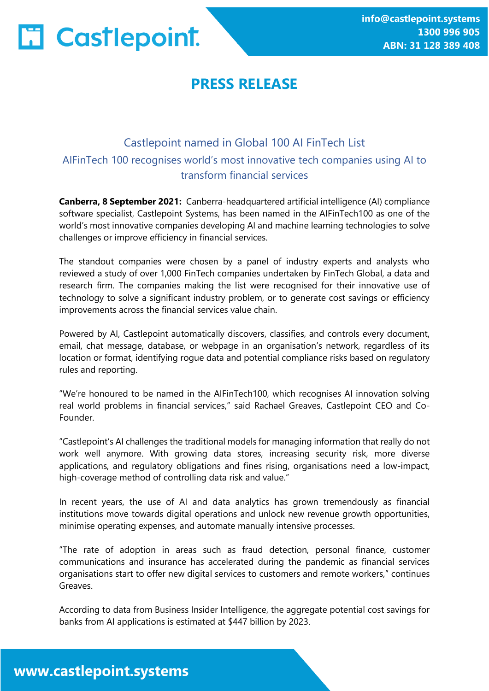

# **PRESS RELEASE**

### Castlepoint named in Global 100 AI FinTech List AIFinTech 100 recognises world's most innovative tech companies using AI to transform financial services

**Canberra, 8 September 2021:** Canberra-headquartered artificial intelligence (AI) compliance software specialist, Castlepoint Systems, has been named in the AIFinTech100 as one of the world's most innovative companies developing AI and machine learning technologies to solve challenges or improve efficiency in financial services.

The standout companies were chosen by a panel of industry experts and analysts who reviewed a study of over 1,000 FinTech companies undertaken by FinTech Global, a data and research firm. The companies making the list were recognised for their innovative use of technology to solve a significant industry problem, or to generate cost savings or efficiency improvements across the financial services value chain.

Powered by AI, Castlepoint automatically discovers, classifies, and controls every document, email, chat message, database, or webpage in an organisation's network, regardless of its location or format, identifying rogue data and potential compliance risks based on regulatory rules and reporting.

"We're honoured to be named in the AIFinTech100, which recognises AI innovation solving real world problems in financial services," said Rachael Greaves, Castlepoint CEO and Co-Founder.

"Castlepoint's AI challenges the traditional models for managing information that really do not work well anymore. With growing data stores, increasing security risk, more diverse applications, and regulatory obligations and fines rising, organisations need a low-impact, high-coverage method of controlling data risk and value."

In recent years, the use of AI and data analytics has grown tremendously as financial institutions move towards digital operations and unlock new revenue growth opportunities, minimise operating expenses, and automate manually intensive processes.

"The rate of adoption in areas such as fraud detection, personal finance, customer communications and insurance has accelerated during the pandemic as financial services organisations start to offer new digital services to customers and remote workers," continues Greaves.

According to data from Business Insider Intelligence, the aggregate potential cost savings for banks from AI applications is estimated at \$447 billion by 2023.

## www.castlepoint.systems